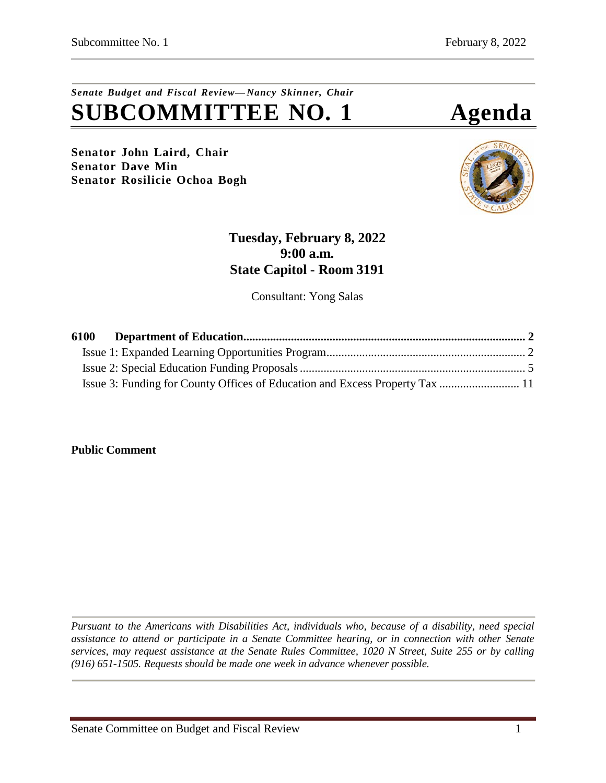# *Senate Budget and Fiscal Review— Nancy Skinner, Chair* **SUBCOMMITTEE NO. 1 Agenda**

**Senator John Laird, Chair Senator Dave Min Senator Rosilicie Ochoa Bogh**



# **Tuesday, February 8, 2022 9:00 a.m. State Capitol - Room 3191**

Consultant: Yong Salas

| 6100 |                                                                              |  |
|------|------------------------------------------------------------------------------|--|
|      |                                                                              |  |
|      |                                                                              |  |
|      | Issue 3: Funding for County Offices of Education and Excess Property Tax  11 |  |

#### **Public Comment**

*Pursuant to the Americans with Disabilities Act, individuals who, because of a disability, need special assistance to attend or participate in a Senate Committee hearing, or in connection with other Senate services, may request assistance at the Senate Rules Committee, 1020 N Street, Suite 255 or by calling (916) 651-1505. Requests should be made one week in advance whenever possible.*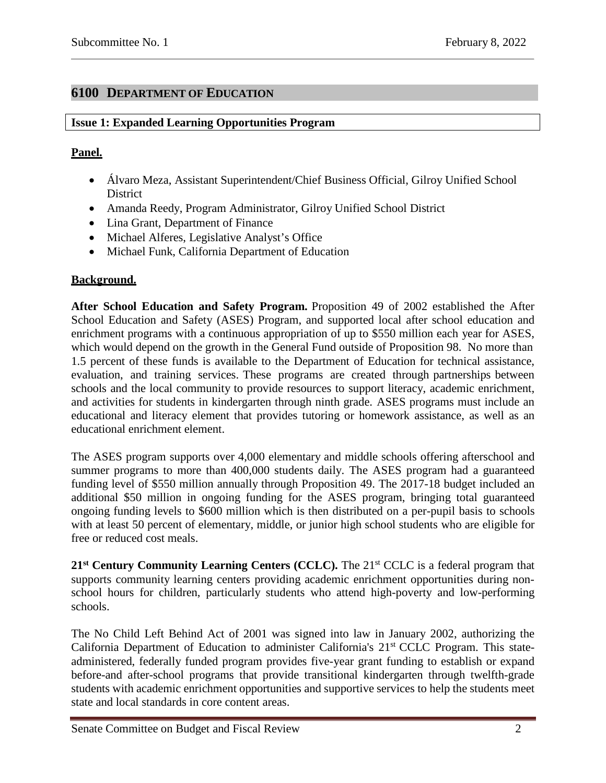## <span id="page-1-0"></span>**6100 DEPARTMENT OF EDUCATION**

#### <span id="page-1-1"></span>**Issue 1: Expanded Learning Opportunities Program**

#### **Panel.**

- Álvaro Meza, Assistant Superintendent/Chief Business Official, Gilroy Unified School District
- Amanda Reedy, Program Administrator, Gilroy Unified School District
- Lina Grant, Department of Finance
- Michael Alferes, Legislative Analyst's Office
- Michael Funk, California Department of Education

## **Background.**

**After School Education and Safety Program.** Proposition 49 of 2002 established the After School Education and Safety (ASES) Program, and supported local after school education and enrichment programs with a continuous appropriation of up to \$550 million each year for ASES, which would depend on the growth in the General Fund outside of Proposition 98. No more than 1.5 percent of these funds is available to the Department of Education for technical assistance, evaluation, and training services. These programs are created through partnerships between schools and the local community to provide resources to support literacy, academic enrichment, and activities for students in kindergarten through ninth grade. ASES programs must include an educational and literacy element that provides tutoring or homework assistance, as well as an educational enrichment element.

The ASES program supports over 4,000 elementary and middle schools offering afterschool and summer programs to more than 400,000 students daily. The ASES program had a guaranteed funding level of \$550 million annually through Proposition 49. The 2017-18 budget included an additional \$50 million in ongoing funding for the ASES program, bringing total guaranteed ongoing funding levels to \$600 million which is then distributed on a per-pupil basis to schools with at least 50 percent of elementary, middle, or junior high school students who are eligible for free or reduced cost meals.

**21st Century Community Learning Centers (CCLC).** The 21st CCLC is a federal program that supports community learning centers providing academic enrichment opportunities during nonschool hours for children, particularly students who attend high-poverty and low-performing schools.

The No Child Left Behind Act of 2001 was signed into law in January 2002, authorizing the California Department of Education to administer California's 21<sup>st</sup> CCLC Program. This stateadministered, federally funded program provides five-year grant funding to establish or expand before-and after-school programs that provide transitional kindergarten through twelfth-grade students with academic enrichment opportunities and supportive services to help the students meet state and local standards in core content areas.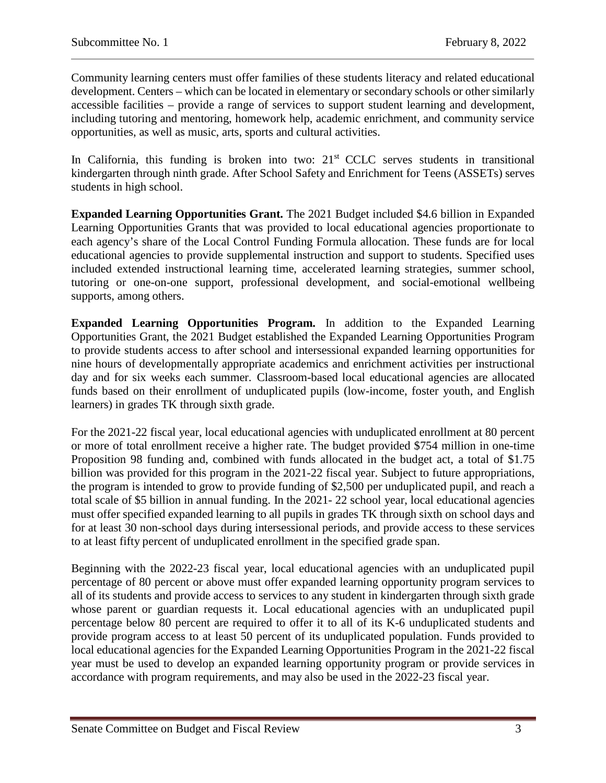Community learning centers must offer families of these students literacy and related educational development. Centers – which can be located in elementary or secondary schools or other similarly accessible facilities – provide a range of services to support student learning and development, including tutoring and mentoring, homework help, academic enrichment, and community service opportunities, as well as music, arts, sports and cultural activities.

In California, this funding is broken into two:  $21<sup>st</sup>$  CCLC serves students in transitional kindergarten through ninth grade. After School Safety and Enrichment for Teens (ASSETs) serves students in high school.

**Expanded Learning Opportunities Grant.** The 2021 Budget included \$4.6 billion in Expanded Learning Opportunities Grants that was provided to local educational agencies proportionate to each agency's share of the Local Control Funding Formula allocation. These funds are for local educational agencies to provide supplemental instruction and support to students. Specified uses included extended instructional learning time, accelerated learning strategies, summer school, tutoring or one-on-one support, professional development, and social-emotional wellbeing supports, among others.

**Expanded Learning Opportunities Program.** In addition to the Expanded Learning Opportunities Grant, the 2021 Budget established the Expanded Learning Opportunities Program to provide students access to after school and intersessional expanded learning opportunities for nine hours of developmentally appropriate academics and enrichment activities per instructional day and for six weeks each summer. Classroom-based local educational agencies are allocated funds based on their enrollment of unduplicated pupils (low-income, foster youth, and English learners) in grades TK through sixth grade.

For the 2021-22 fiscal year, local educational agencies with unduplicated enrollment at 80 percent or more of total enrollment receive a higher rate. The budget provided \$754 million in one-time Proposition 98 funding and, combined with funds allocated in the budget act, a total of \$1.75 billion was provided for this program in the 2021-22 fiscal year. Subject to future appropriations, the program is intended to grow to provide funding of \$2,500 per unduplicated pupil, and reach a total scale of \$5 billion in annual funding. In the 2021- 22 school year, local educational agencies must offer specified expanded learning to all pupils in grades TK through sixth on school days and for at least 30 non-school days during intersessional periods, and provide access to these services to at least fifty percent of unduplicated enrollment in the specified grade span.

Beginning with the 2022-23 fiscal year, local educational agencies with an unduplicated pupil percentage of 80 percent or above must offer expanded learning opportunity program services to all of its students and provide access to services to any student in kindergarten through sixth grade whose parent or guardian requests it. Local educational agencies with an unduplicated pupil percentage below 80 percent are required to offer it to all of its K-6 unduplicated students and provide program access to at least 50 percent of its unduplicated population. Funds provided to local educational agencies for the Expanded Learning Opportunities Program in the 2021-22 fiscal year must be used to develop an expanded learning opportunity program or provide services in accordance with program requirements, and may also be used in the 2022-23 fiscal year.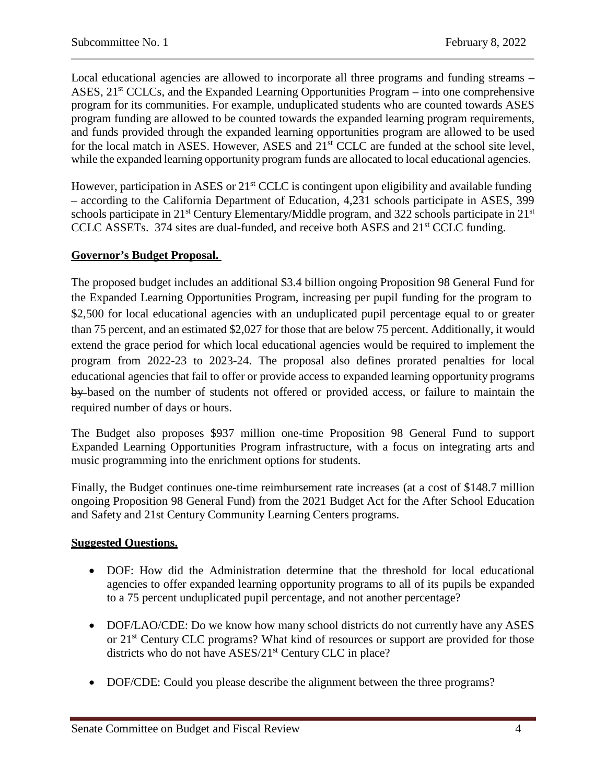Local educational agencies are allowed to incorporate all three programs and funding streams – ASES, 21<sup>st</sup> CCLCs, and the Expanded Learning Opportunities Program – into one comprehensive program for its communities. For example, unduplicated students who are counted towards ASES program funding are allowed to be counted towards the expanded learning program requirements, and funds provided through the expanded learning opportunities program are allowed to be used for the local match in ASES. However, ASES and 21<sup>st</sup> CCLC are funded at the school site level, while the expanded learning opportunity program funds are allocated to local educational agencies.

However, participation in ASES or 21<sup>st</sup> CCLC is contingent upon eligibility and available funding – according to the California Department of Education, 4,231 schools participate in ASES, 399 schools participate in 21<sup>st</sup> Century Elementary/Middle program, and 322 schools participate in 21<sup>st</sup> CCLC ASSETs. 374 sites are dual-funded, and receive both ASES and 21<sup>st</sup> CCLC funding.

#### **Governor's Budget Proposal.**

The proposed budget includes an additional \$3.4 billion ongoing Proposition 98 General Fund for the Expanded Learning Opportunities Program, increasing per pupil funding for the program to \$2,500 for local educational agencies with an unduplicated pupil percentage equal to or greater than 75 percent, and an estimated \$2,027 for those that are below 75 percent. Additionally, it would extend the grace period for which local educational agencies would be required to implement the program from 2022-23 to 2023-24. The proposal also defines prorated penalties for local educational agencies that fail to offer or provide access to expanded learning opportunity programs by based on the number of students not offered or provided access, or failure to maintain the required number of days or hours.

The Budget also proposes \$937 million one-time Proposition 98 General Fund to support Expanded Learning Opportunities Program infrastructure, with a focus on integrating arts and music programming into the enrichment options for students.

Finally, the Budget continues one-time reimbursement rate increases (at a cost of \$148.7 million ongoing Proposition 98 General Fund) from the 2021 Budget Act for the After School Education and Safety and 21st Century Community Learning Centers programs.

#### **Suggested Questions.**

- DOF: How did the Administration determine that the threshold for local educational agencies to offer expanded learning opportunity programs to all of its pupils be expanded to a 75 percent unduplicated pupil percentage, and not another percentage?
- DOF/LAO/CDE: Do we know how many school districts do not currently have any ASES or 21st Century CLC programs? What kind of resources or support are provided for those districts who do not have ASES/21<sup>st</sup> Century CLC in place?
- DOF/CDE: Could you please describe the alignment between the three programs?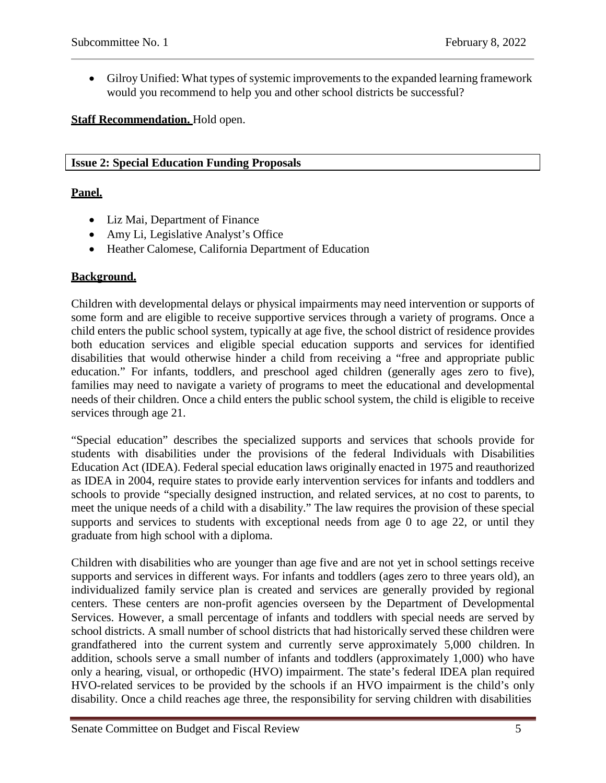• Gilroy Unified: What types of systemic improvements to the expanded learning framework would you recommend to help you and other school districts be successful?

#### **Staff Recommendation.** Hold open.

#### <span id="page-4-0"></span>**Issue 2: Special Education Funding Proposals**

#### **Panel.**

- Liz Mai, Department of Finance
- Amy Li, Legislative Analyst's Office
- Heather Calomese, California Department of Education

#### **Background.**

Children with developmental delays or physical impairments may need intervention or supports of some form and are eligible to receive supportive services through a variety of programs. Once a child enters the public school system, typically at age five, the school district of residence provides both education services and eligible special education supports and services for identified disabilities that would otherwise hinder a child from receiving a "free and appropriate public education." For infants, toddlers, and preschool aged children (generally ages zero to five), families may need to navigate a variety of programs to meet the educational and developmental needs of their children. Once a child enters the public school system, the child is eligible to receive services through age 21.

"Special education" describes the specialized supports and services that schools provide for students with disabilities under the provisions of the federal Individuals with Disabilities Education Act (IDEA). Federal special education laws originally enacted in 1975 and reauthorized as IDEA in 2004, require states to provide early intervention services for infants and toddlers and schools to provide "specially designed instruction, and related services, at no cost to parents, to meet the unique needs of a child with a disability." The law requires the provision of these special supports and services to students with exceptional needs from age 0 to age 22, or until they graduate from high school with a diploma.

Children with disabilities who are younger than age five and are not yet in school settings receive supports and services in different ways. For infants and toddlers (ages zero to three years old), an individualized family service plan is created and services are generally provided by regional centers. These centers are non-profit agencies overseen by the Department of Developmental Services. However, a small percentage of infants and toddlers with special needs are served by school districts. A small number of school districts that had historically served these children were grandfathered into the current system and currently serve approximately 5,000 children. In addition, schools serve a small number of infants and toddlers (approximately 1,000) who have only a hearing, visual, or orthopedic (HVO) impairment. The state's federal IDEA plan required HVO-related services to be provided by the schools if an HVO impairment is the child's only disability. Once a child reaches age three, the responsibility for serving children with disabilities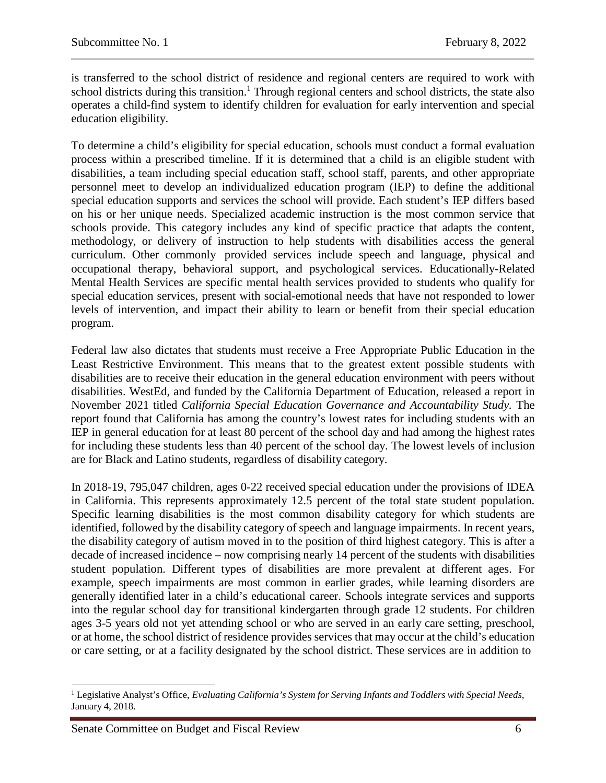is transferred to the school district of residence and regional centers are required to work with school districts during this transition.<sup>1</sup> Through regional centers and school districts, the state also operates a child-find system to identify children for evaluation for early intervention and special education eligibility.

To determine a child's eligibility for special education, schools must conduct a formal evaluation process within a prescribed timeline. If it is determined that a child is an eligible student with disabilities, a team including special education staff, school staff, parents, and other appropriate personnel meet to develop an individualized education program (IEP) to define the additional special education supports and services the school will provide. Each student's IEP differs based on his or her unique needs. Specialized academic instruction is the most common service that schools provide. This category includes any kind of specific practice that adapts the content, methodology, or delivery of instruction to help students with disabilities access the general curriculum. Other commonly provided services include speech and language, physical and occupational therapy, behavioral support, and psychological services. Educationally-Related Mental Health Services are specific mental health services provided to students who qualify for special education services, present with social-emotional needs that have not responded to lower levels of intervention, and impact their ability to learn or benefit from their special education program.

Federal law also dictates that students must receive a Free Appropriate Public Education in the Least Restrictive Environment. This means that to the greatest extent possible students with disabilities are to receive their education in the general education environment with peers without disabilities. WestEd, and funded by the California Department of Education, released a report in November 2021 titled *California Special Education Governance and Accountability Study.* The report found that California has among the country's lowest rates for including students with an IEP in general education for at least 80 percent of the school day and had among the highest rates for including these students less than 40 percent of the school day. The lowest levels of inclusion are for Black and Latino students, regardless of disability category.

In 2018-19, 795,047 children, ages 0-22 received special education under the provisions of IDEA in California. This represents approximately 12.5 percent of the total state student population. Specific learning disabilities is the most common disability category for which students are identified, followed by the disability category of speech and language impairments. In recent years, the disability category of autism moved in to the position of third highest category. This is after a decade of increased incidence – now comprising nearly 14 percent of the students with disabilities student population. Different types of disabilities are more prevalent at different ages. For example, speech impairments are most common in earlier grades, while learning disorders are generally identified later in a child's educational career. Schools integrate services and supports into the regular school day for transitional kindergarten through grade 12 students. For children ages 3-5 years old not yet attending school or who are served in an early care setting, preschool, or at home, the school district of residence provides services that may occur at the child's education or care setting, or at a facility designated by the school district. These services are in addition to

<sup>1</sup> Legislative Analyst's Office, *Evaluating California's System for Serving Infants and Toddlers with Special Needs,* January 4, 2018.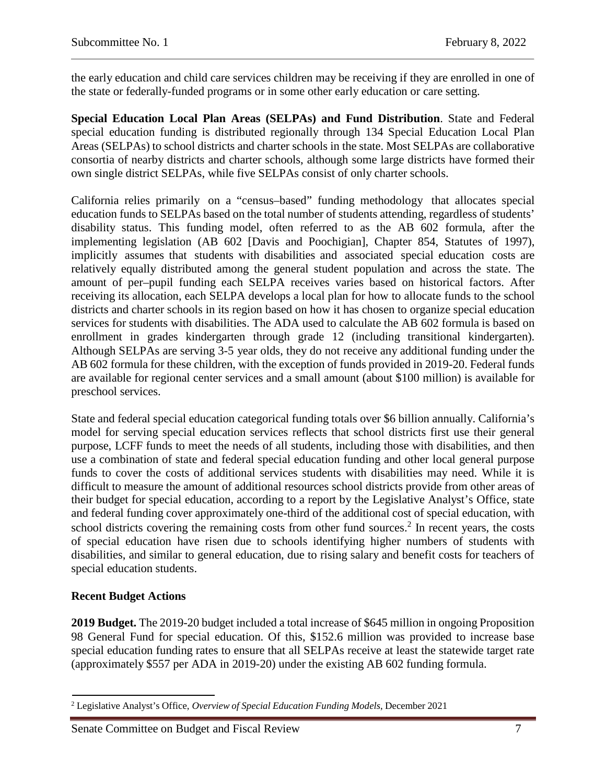the early education and child care services children may be receiving if they are enrolled in one of the state or federally-funded programs or in some other early education or care setting.

**Special Education Local Plan Areas (SELPAs) and Fund Distribution**. State and Federal special education funding is distributed regionally through 134 Special Education Local Plan Areas (SELPAs) to school districts and charter schools in the state. Most SELPAs are collaborative consortia of nearby districts and charter schools, although some large districts have formed their own single district SELPAs, while five SELPAs consist of only charter schools.

California relies primarily on a "census–based" funding methodology that allocates special education funds to SELPAs based on the total number of students attending, regardless of students' disability status. This funding model, often referred to as the AB 602 formula, after the implementing legislation (AB 602 [Davis and Poochigian], Chapter 854, Statutes of 1997), implicitly assumes that students with disabilities and associated special education costs are relatively equally distributed among the general student population and across the state. The amount of per–pupil funding each SELPA receives varies based on historical factors. After receiving its allocation, each SELPA develops a local plan for how to allocate funds to the school districts and charter schools in its region based on how it has chosen to organize special education services for students with disabilities. The ADA used to calculate the AB 602 formula is based on enrollment in grades kindergarten through grade 12 (including transitional kindergarten). Although SELPAs are serving 3-5 year olds, they do not receive any additional funding under the AB 602 formula for these children, with the exception of funds provided in 2019-20. Federal funds are available for regional center services and a small amount (about \$100 million) is available for preschool services.

State and federal special education categorical funding totals over \$6 billion annually. California's model for serving special education services reflects that school districts first use their general purpose, LCFF funds to meet the needs of all students, including those with disabilities, and then use a combination of state and federal special education funding and other local general purpose funds to cover the costs of additional services students with disabilities may need. While it is difficult to measure the amount of additional resources school districts provide from other areas of their budget for special education, according to a report by the Legislative Analyst's Office, state and federal funding cover approximately one-third of the additional cost of special education, with school districts covering the remaining costs from other fund sources.<sup>2</sup> In recent years, the costs of special education have risen due to schools identifying higher numbers of students with disabilities, and similar to general education, due to rising salary and benefit costs for teachers of special education students.

#### **Recent Budget Actions**

**2019 Budget.** The 2019-20 budget included a total increase of \$645 million in ongoing Proposition 98 General Fund for special education. Of this, \$152.6 million was provided to increase base special education funding rates to ensure that all SELPAs receive at least the statewide target rate (approximately \$557 per ADA in 2019-20) under the existing AB 602 funding formula.

<sup>2</sup> Legislative Analyst's Office, *Overview of Special Education Funding Models*, December 2021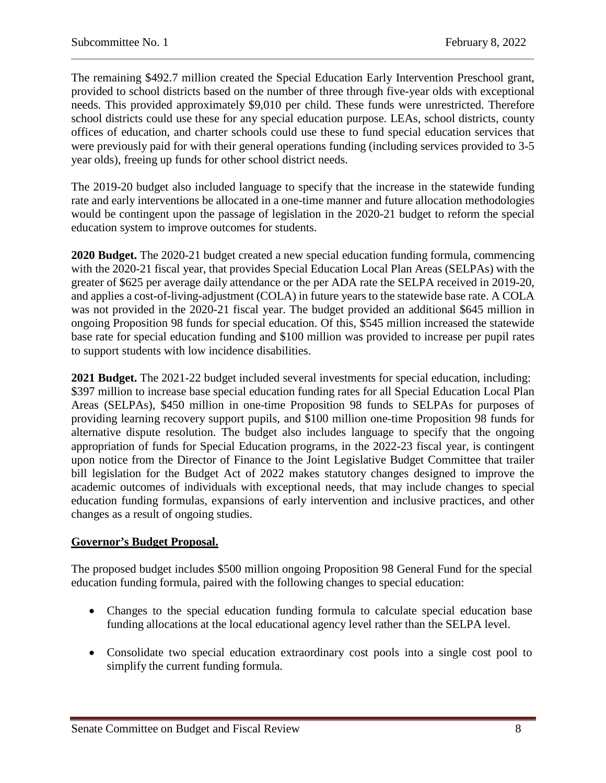The remaining \$492.7 million created the Special Education Early Intervention Preschool grant, provided to school districts based on the number of three through five-year olds with exceptional needs. This provided approximately \$9,010 per child. These funds were unrestricted. Therefore school districts could use these for any special education purpose. LEAs, school districts, county offices of education, and charter schools could use these to fund special education services that were previously paid for with their general operations funding (including services provided to 3-5 year olds), freeing up funds for other school district needs.

The 2019-20 budget also included language to specify that the increase in the statewide funding rate and early interventions be allocated in a one-time manner and future allocation methodologies would be contingent upon the passage of legislation in the 2020-21 budget to reform the special education system to improve outcomes for students.

**2020 Budget.** The 2020-21 budget created a new special education funding formula, commencing with the 2020-21 fiscal year, that provides Special Education Local Plan Areas (SELPAs) with the greater of \$625 per average daily attendance or the per ADA rate the SELPA received in 2019-20, and applies a cost-of-living-adjustment (COLA) in future years to the statewide base rate. A COLA was not provided in the 2020-21 fiscal year. The budget provided an additional \$645 million in ongoing Proposition 98 funds for special education. Of this, \$545 million increased the statewide base rate for special education funding and \$100 million was provided to increase per pupil rates to support students with low incidence disabilities.

**2021 Budget.** The 2021-22 budget included several investments for special education, including: \$397 million to increase base special education funding rates for all Special Education Local Plan Areas (SELPAs), \$450 million in one-time Proposition 98 funds to SELPAs for purposes of providing learning recovery support pupils, and \$100 million one-time Proposition 98 funds for alternative dispute resolution. The budget also includes language to specify that the ongoing appropriation of funds for Special Education programs, in the 2022-23 fiscal year, is contingent upon notice from the Director of Finance to the Joint Legislative Budget Committee that trailer bill legislation for the Budget Act of 2022 makes statutory changes designed to improve the academic outcomes of individuals with exceptional needs, that may include changes to special education funding formulas, expansions of early intervention and inclusive practices, and other changes as a result of ongoing studies.

#### **Governor's Budget Proposal.**

The proposed budget includes \$500 million ongoing Proposition 98 General Fund for the special education funding formula, paired with the following changes to special education:

- Changes to the special education funding formula to calculate special education base funding allocations at the local educational agency level rather than the SELPA level.
- Consolidate two special education extraordinary cost pools into a single cost pool to simplify the current funding formula.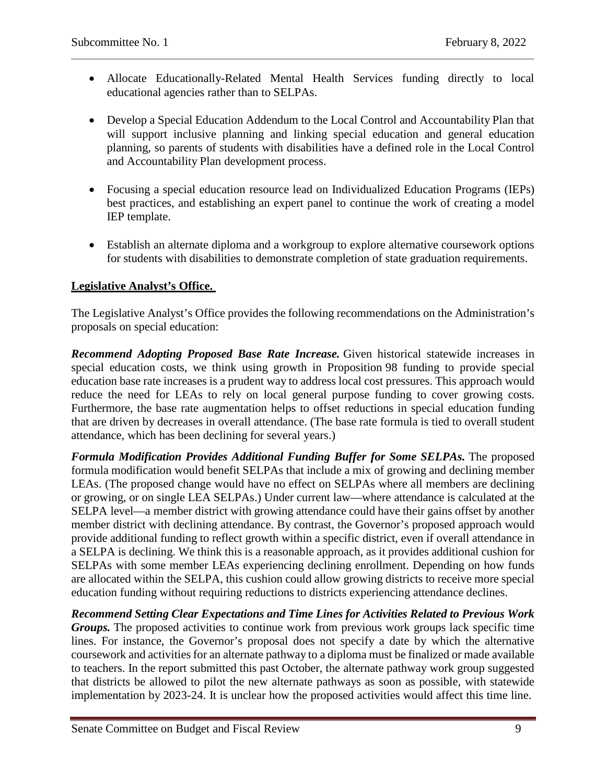- Allocate Educationally-Related Mental Health Services funding directly to local educational agencies rather than to SELPAs.
- Develop a Special Education Addendum to the Local Control and Accountability Plan that will support inclusive planning and linking special education and general education planning, so parents of students with disabilities have a defined role in the Local Control and Accountability Plan development process.
- Focusing a special education resource lead on Individualized Education Programs (IEPs) best practices, and establishing an expert panel to continue the work of creating a model IEP template.
- Establish an alternate diploma and a workgroup to explore alternative coursework options for students with disabilities to demonstrate completion of state graduation requirements.

#### **Legislative Analyst's Office.**

The Legislative Analyst's Office provides the following recommendations on the Administration's proposals on special education:

*Recommend Adopting Proposed Base Rate Increase.* Given historical statewide increases in special education costs, we think using growth in Proposition 98 funding to provide special education base rate increases is a prudent way to address local cost pressures. This approach would reduce the need for LEAs to rely on local general purpose funding to cover growing costs. Furthermore, the base rate augmentation helps to offset reductions in special education funding that are driven by decreases in overall attendance. (The base rate formula is tied to overall student attendance, which has been declining for several years.)

*Formula Modification Provides Additional Funding Buffer for Some SELPAs.* The proposed formula modification would benefit SELPAs that include a mix of growing and declining member LEAs. (The proposed change would have no effect on SELPAs where all members are declining or growing, or on single LEA SELPAs.) Under current law—where attendance is calculated at the SELPA level—a member district with growing attendance could have their gains offset by another member district with declining attendance. By contrast, the Governor's proposed approach would provide additional funding to reflect growth within a specific district, even if overall attendance in a SELPA is declining. We think this is a reasonable approach, as it provides additional cushion for SELPAs with some member LEAs experiencing declining enrollment. Depending on how funds are allocated within the SELPA, this cushion could allow growing districts to receive more special education funding without requiring reductions to districts experiencing attendance declines.

*Recommend Setting Clear Expectations and Time Lines for Activities Related to Previous Work Groups*. The proposed activities to continue work from previous work groups lack specific time lines. For instance, the Governor's proposal does not specify a date by which the alternative coursework and activities for an alternate pathway to a diploma must be finalized or made available to teachers. In the report submitted this past October, the alternate pathway work group suggested that districts be allowed to pilot the new alternate pathways as soon as possible, with statewide implementation by 2023-24. It is unclear how the proposed activities would affect this time line.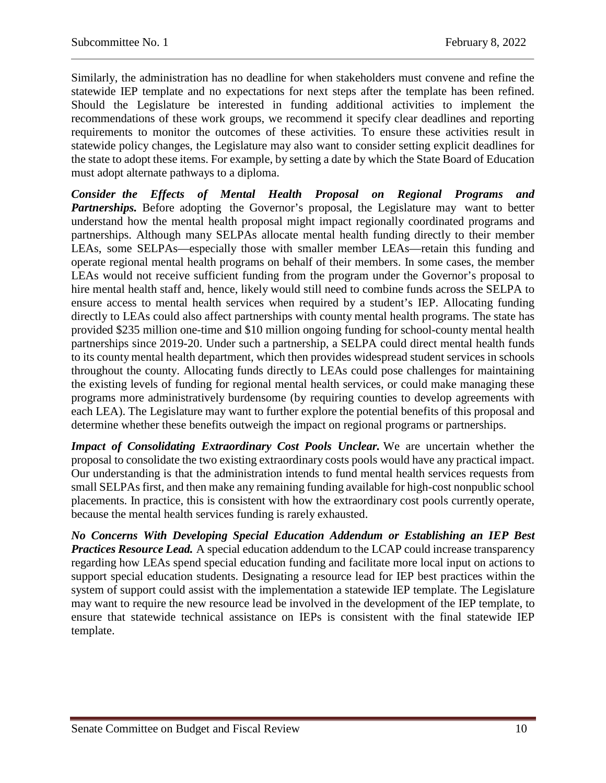Similarly, the administration has no deadline for when stakeholders must convene and refine the statewide IEP template and no expectations for next steps after the template has been refined. Should the Legislature be interested in funding additional activities to implement the recommendations of these work groups, we recommend it specify clear deadlines and reporting requirements to monitor the outcomes of these activities. To ensure these activities result in statewide policy changes, the Legislature may also want to consider setting explicit deadlines for the state to adopt these items. For example, by setting a date by which the State Board of Education must adopt alternate pathways to a diploma.

*Consider the Effects of Mental Health Proposal on Regional Programs and Partnerships.* Before adopting the Governor's proposal, the Legislature may want to better understand how the mental health proposal might impact regionally coordinated programs and partnerships. Although many SELPAs allocate mental health funding directly to their member LEAs, some SELPAs—especially those with smaller member LEAs—retain this funding and operate regional mental health programs on behalf of their members. In some cases, the member LEAs would not receive sufficient funding from the program under the Governor's proposal to hire mental health staff and, hence, likely would still need to combine funds across the SELPA to ensure access to mental health services when required by a student's IEP. Allocating funding directly to LEAs could also affect partnerships with county mental health programs. The state has provided \$235 million one-time and \$10 million ongoing funding for school-county mental health partnerships since 2019-20. Under such a partnership, a SELPA could direct mental health funds to its county mental health department, which then provides widespread student services in schools throughout the county. Allocating funds directly to LEAs could pose challenges for maintaining the existing levels of funding for regional mental health services, or could make managing these programs more administratively burdensome (by requiring counties to develop agreements with each LEA). The Legislature may want to further explore the potential benefits of this proposal and determine whether these benefits outweigh the impact on regional programs or partnerships.

*Impact of Consolidating Extraordinary Cost Pools Unclear.* We are uncertain whether the proposal to consolidate the two existing extraordinary costs pools would have any practical impact. Our understanding is that the administration intends to fund mental health services requests from small SELPAs first, and then make any remaining funding available for high-cost nonpublic school placements. In practice, this is consistent with how the extraordinary cost pools currently operate, because the mental health services funding is rarely exhausted.

*No Concerns With Developing Special Education Addendum or Establishing an IEP Best Practices Resource Lead.* A special education addendum to the LCAP could increase transparency regarding how LEAs spend special education funding and facilitate more local input on actions to support special education students. Designating a resource lead for IEP best practices within the system of support could assist with the implementation a statewide IEP template. The Legislature may want to require the new resource lead be involved in the development of the IEP template, to ensure that statewide technical assistance on IEPs is consistent with the final statewide IEP template.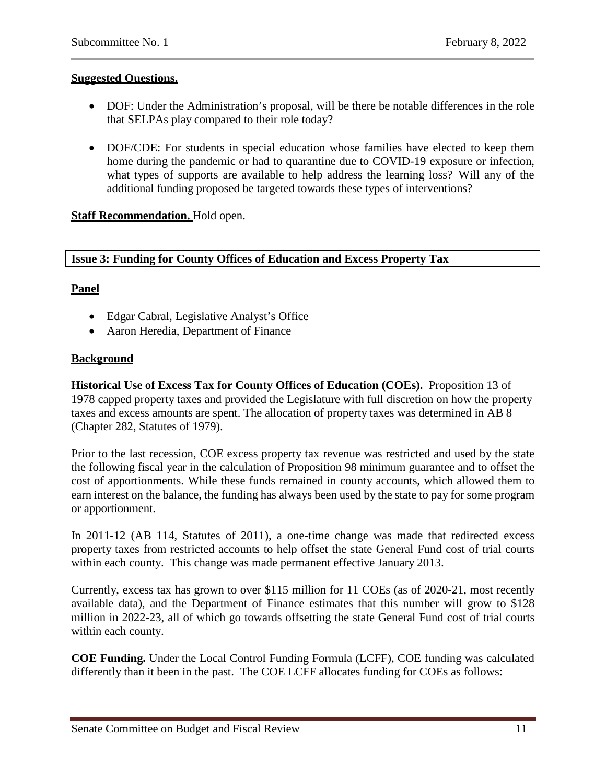#### **Suggested Questions.**

- DOF: Under the Administration's proposal, will be there be notable differences in the role that SELPAs play compared to their role today?
- DOF/CDE: For students in special education whose families have elected to keep them home during the pandemic or had to quarantine due to COVID-19 exposure or infection, what types of supports are available to help address the learning loss? Will any of the additional funding proposed be targeted towards these types of interventions?

#### **Staff Recommendation.** Hold open.

#### <span id="page-10-0"></span>**Issue 3: Funding for County Offices of Education and Excess Property Tax**

#### **Panel**

- Edgar Cabral, Legislative Analyst's Office
- Aaron Heredia, Department of Finance

#### **Background**

**Historical Use of Excess Tax for County Offices of Education (COEs).** Proposition 13 of 1978 capped property taxes and provided the Legislature with full discretion on how the property taxes and excess amounts are spent. The allocation of property taxes was determined in AB 8 (Chapter 282, Statutes of 1979).

Prior to the last recession, COE excess property tax revenue was restricted and used by the state the following fiscal year in the calculation of Proposition 98 minimum guarantee and to offset the cost of apportionments. While these funds remained in county accounts, which allowed them to earn interest on the balance, the funding has always been used by the state to pay for some program or apportionment.

In 2011-12 (AB 114, Statutes of 2011), a one-time change was made that redirected excess property taxes from restricted accounts to help offset the state General Fund cost of trial courts within each county. This change was made permanent effective January 2013.

Currently, excess tax has grown to over \$115 million for 11 COEs (as of 2020-21, most recently available data), and the Department of Finance estimates that this number will grow to \$128 million in 2022-23, all of which go towards offsetting the state General Fund cost of trial courts within each county.

**COE Funding.** Under the Local Control Funding Formula (LCFF), COE funding was calculated differently than it been in the past. The COE LCFF allocates funding for COEs as follows: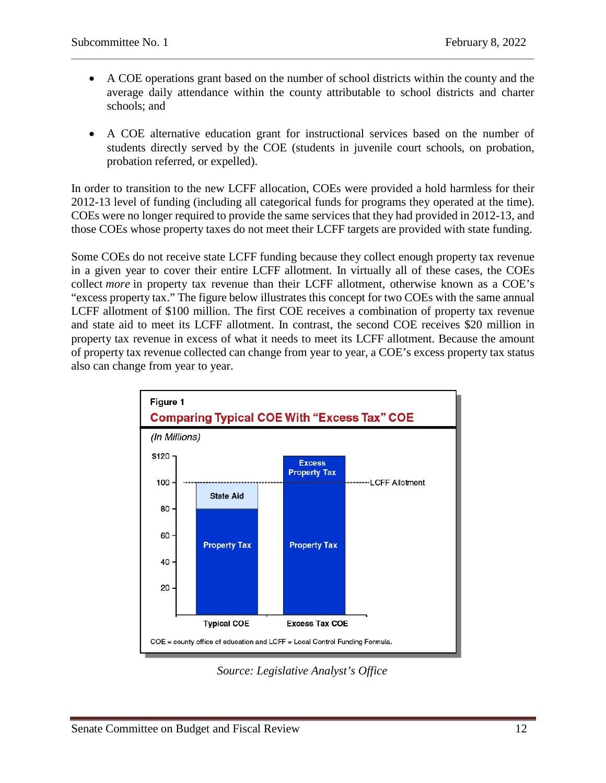- A COE operations grant based on the number of school districts within the county and the average daily attendance within the county attributable to school districts and charter schools; and
- A COE alternative education grant for instructional services based on the number of students directly served by the COE (students in juvenile court schools, on probation, probation referred, or expelled).

In order to transition to the new LCFF allocation, COEs were provided a hold harmless for their 2012-13 level of funding (including all categorical funds for programs they operated at the time). COEs were no longer required to provide the same services that they had provided in 2012-13, and those COEs whose property taxes do not meet their LCFF targets are provided with state funding.

Some COEs do not receive state LCFF funding because they collect enough property tax revenue in a given year to cover their entire LCFF allotment. In virtually all of these cases, the COEs collect *more* in property tax revenue than their LCFF allotment, otherwise known as a COE's "excess property tax." The figure below illustrates this concept for two COEs with the same annual LCFF allotment of \$100 million. The first COE receives a combination of property tax revenue and state aid to meet its LCFF allotment. In contrast, the second COE receives \$20 million in property tax revenue in excess of what it needs to meet its LCFF allotment. Because the amount of property tax revenue collected can change from year to year, a COE's excess property tax status also can change from year to year.



*Source: Legislative Analyst's Office*